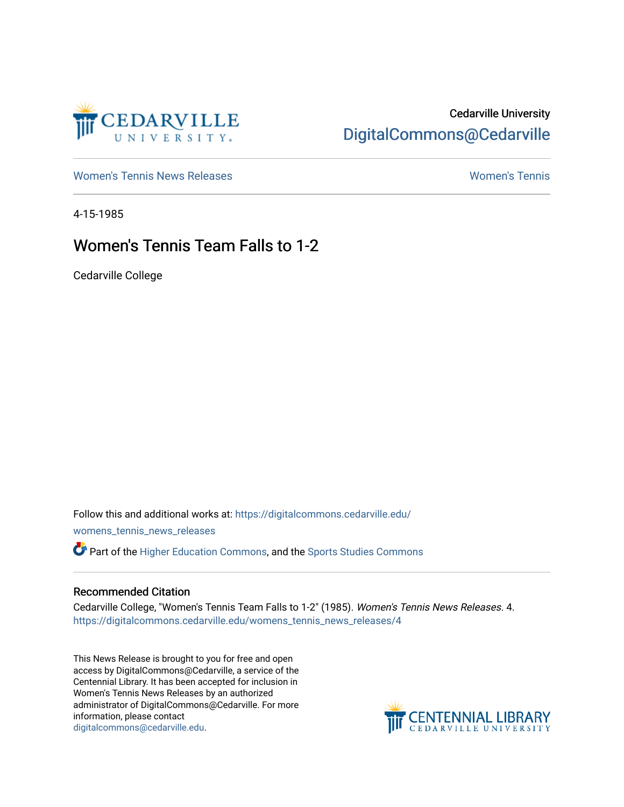

## Cedarville University [DigitalCommons@Cedarville](https://digitalcommons.cedarville.edu/)

[Women's Tennis News Releases](https://digitalcommons.cedarville.edu/womens_tennis_news_releases) [Women's Tennis](https://digitalcommons.cedarville.edu/womens_tennis) 

4-15-1985

## Women's Tennis Team Falls to 1-2

Cedarville College

Follow this and additional works at: [https://digitalcommons.cedarville.edu/](https://digitalcommons.cedarville.edu/womens_tennis_news_releases?utm_source=digitalcommons.cedarville.edu%2Fwomens_tennis_news_releases%2F4&utm_medium=PDF&utm_campaign=PDFCoverPages) [womens\\_tennis\\_news\\_releases](https://digitalcommons.cedarville.edu/womens_tennis_news_releases?utm_source=digitalcommons.cedarville.edu%2Fwomens_tennis_news_releases%2F4&utm_medium=PDF&utm_campaign=PDFCoverPages) 

Part of the [Higher Education Commons,](http://network.bepress.com/hgg/discipline/1245?utm_source=digitalcommons.cedarville.edu%2Fwomens_tennis_news_releases%2F4&utm_medium=PDF&utm_campaign=PDFCoverPages) and the [Sports Studies Commons](http://network.bepress.com/hgg/discipline/1198?utm_source=digitalcommons.cedarville.edu%2Fwomens_tennis_news_releases%2F4&utm_medium=PDF&utm_campaign=PDFCoverPages) 

## Recommended Citation

Cedarville College, "Women's Tennis Team Falls to 1-2" (1985). Women's Tennis News Releases. 4. [https://digitalcommons.cedarville.edu/womens\\_tennis\\_news\\_releases/4](https://digitalcommons.cedarville.edu/womens_tennis_news_releases/4?utm_source=digitalcommons.cedarville.edu%2Fwomens_tennis_news_releases%2F4&utm_medium=PDF&utm_campaign=PDFCoverPages) 

This News Release is brought to you for free and open access by DigitalCommons@Cedarville, a service of the Centennial Library. It has been accepted for inclusion in Women's Tennis News Releases by an authorized administrator of DigitalCommons@Cedarville. For more information, please contact [digitalcommons@cedarville.edu](mailto:digitalcommons@cedarville.edu).